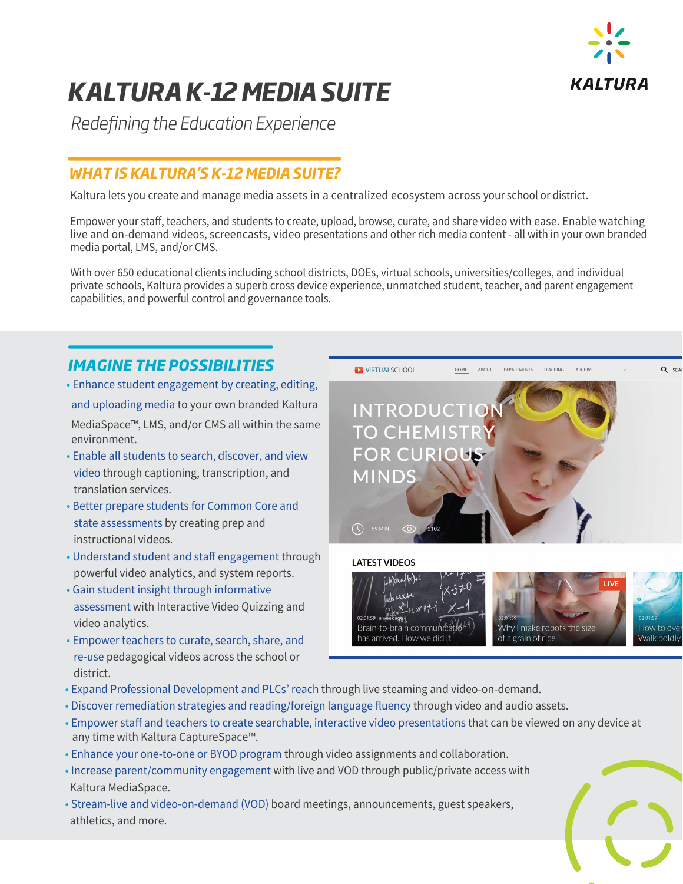

# *KALTURA K-12 MEDIA SUITE*

*Redening the Education Experience*

## *WHAT IS KALTURA'S K-12 MEDIA SUITE?*

Kaltura lets you create and manage media assets in a centralized ecosystem across your school or district.

Empower your staff, teachers, and students to create, upload, browse, curate, and share video with ease. Enable watching live and on-demand videos, screencasts, video presentations and other rich media content - all with in your own branded media portal, LMS, and/or CMS.

With over 650 educational clients including school districts, DOEs, virtual schools, universities/colleges, and individual private schools, Kaltura provides a superb cross device experience, unmatched student, teacher, and parent engagement capabilities, and powerful control and governance tools.

**VIRTUALSCHOOL** HOME

has arrived. How we did it

### *IMAGINE THE POSSIBILITIES*

- Enhance student engagement by creating, editing, and uploading media to your own branded Kaltura MediaSpace™, LMS, and/or CMS all within the same environment.
- Enable all students to search, discover, and view video through captioning, transcription, and translation services.
- Better prepare students for Common Core and state assessments by creating prep and instructional videos.
- Understand student and staff engagement through powerful video analytics, and system reports.
- Gain student insight through informative assessment with Interactive Video Quizzing and video analytics.
- Empower teachers to curate, search, share, and re-use pedagogical videos across the school or district.



Why I make robots the size of a grain of rice



Q SEA

- Expand Professional Development and PLCs' reach through live steaming and video-on-demand.
- Discover remediation strategies and reading/foreign language fluency through video and audio assets.
- Empower staff and teachers to create searchable, interactive video presentations that can be viewed on any device at any time with Kaltura CaptureSpace™.
- Enhance your one-to-one or BYOD program through video assignments and collaboration.
- Increase parent/community engagement with live and VOD through public/private access with Kaltura MediaSpace.
- Stream-live and video-on-demand (VOD) board meetings, announcements, guest speakers, athletics, and more.